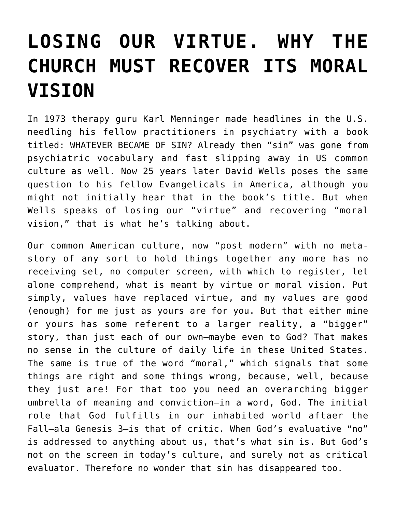## **[LOSING OUR VIRTUE. WHY THE](https://crossings.org/losing-our-virtue-why-the-church-must-recover-its-moral-vision/) [CHURCH MUST RECOVER ITS MORAL](https://crossings.org/losing-our-virtue-why-the-church-must-recover-its-moral-vision/) [VISION](https://crossings.org/losing-our-virtue-why-the-church-must-recover-its-moral-vision/)**

In 1973 therapy guru Karl Menninger made headlines in the U.S. needling his fellow practitioners in psychiatry with a book titled: WHATEVER BECAME OF SIN? Already then "sin" was gone from psychiatric vocabulary and fast slipping away in US common culture as well. Now 25 years later David Wells poses the same question to his fellow Evangelicals in America, although you might not initially hear that in the book's title. But when Wells speaks of losing our "virtue" and recovering "moral vision," that is what he's talking about.

Our common American culture, now "post modern" with no metastory of any sort to hold things together any more has no receiving set, no computer screen, with which to register, let alone comprehend, what is meant by virtue or moral vision. Put simply, values have replaced virtue, and my values are good (enough) for me just as yours are for you. But that either mine or yours has some referent to a larger reality, a "bigger" story, than just each of our own–maybe even to God? That makes no sense in the culture of daily life in these United States. The same is true of the word "moral," which signals that some things are right and some things wrong, because, well, because they just are! For that too you need an overarching bigger umbrella of meaning and conviction–in a word, God. The initial role that God fulfills in our inhabited world aftaer the Fall–ala Genesis 3–is that of critic. When God's evaluative "no" is addressed to anything about us, that's what sin is. But God's not on the screen in today's culture, and surely not as critical evaluator. Therefore no wonder that sin has disappeared too.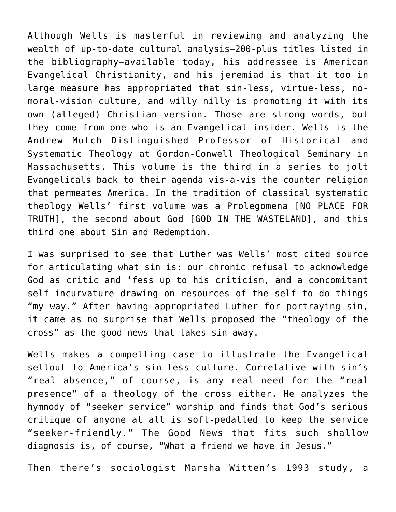Although Wells is masterful in reviewing and analyzing the wealth of up-to-date cultural analysis–200-plus titles listed in the bibliography–available today, his addressee is American Evangelical Christianity, and his jeremiad is that it too in large measure has appropriated that sin-less, virtue-less, nomoral-vision culture, and willy nilly is promoting it with its own (alleged) Christian version. Those are strong words, but they come from one who is an Evangelical insider. Wells is the Andrew Mutch Distinguished Professor of Historical and Systematic Theology at Gordon-Conwell Theological Seminary in Massachusetts. This volume is the third in a series to jolt Evangelicals back to their agenda vis-a-vis the counter religion that permeates America. In the tradition of classical systematic theology Wells' first volume was a Prolegomena [NO PLACE FOR TRUTH], the second about God [GOD IN THE WASTELAND], and this third one about Sin and Redemption.

I was surprised to see that Luther was Wells' most cited source for articulating what sin is: our chronic refusal to acknowledge God as critic and 'fess up to his criticism, and a concomitant self-incurvature drawing on resources of the self to do things "my way." After having appropriated Luther for portraying sin, it came as no surprise that Wells proposed the "theology of the cross" as the good news that takes sin away.

Wells makes a compelling case to illustrate the Evangelical sellout to America's sin-less culture. Correlative with sin's "real absence," of course, is any real need for the "real presence" of a theology of the cross either. He analyzes the hymnody of "seeker service" worship and finds that God's serious critique of anyone at all is soft-pedalled to keep the service "seeker-friendly." The Good News that fits such shallow diagnosis is, of course, "What a friend we have in Jesus."

Then there's sociologist Marsha Witten's 1993 study, a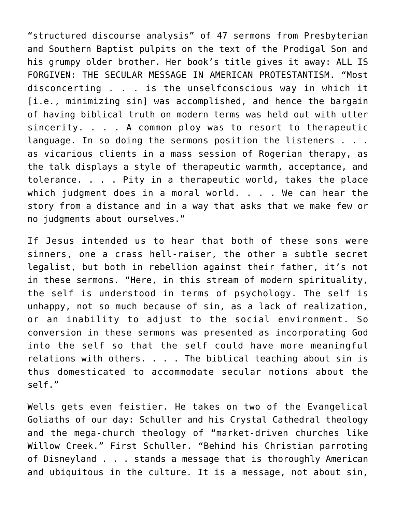"structured discourse analysis" of 47 sermons from Presbyterian and Southern Baptist pulpits on the text of the Prodigal Son and his grumpy older brother. Her book's title gives it away: ALL IS FORGIVEN: THE SECULAR MESSAGE IN AMERICAN PROTESTANTISM. "Most disconcerting . . . is the unselfconscious way in which it [i.e., minimizing sin] was accomplished, and hence the bargain of having biblical truth on modern terms was held out with utter sincerity. . . . A common ploy was to resort to therapeutic language. In so doing the sermons position the listeners . . . as vicarious clients in a mass session of Rogerian therapy, as the talk displays a style of therapeutic warmth, acceptance, and tolerance. . . . Pity in a therapeutic world, takes the place which judgment does in a moral world. . . . We can hear the story from a distance and in a way that asks that we make few or no judgments about ourselves."

If Jesus intended us to hear that both of these sons were sinners, one a crass hell-raiser, the other a subtle secret legalist, but both in rebellion against their father, it's not in these sermons. "Here, in this stream of modern spirituality, the self is understood in terms of psychology. The self is unhappy, not so much because of sin, as a lack of realization, or an inability to adjust to the social environment. So conversion in these sermons was presented as incorporating God into the self so that the self could have more meaningful relations with others. . . . The biblical teaching about sin is thus domesticated to accommodate secular notions about the self."

Wells gets even feistier. He takes on two of the Evangelical Goliaths of our day: Schuller and his Crystal Cathedral theology and the mega-church theology of "market-driven churches like Willow Creek." First Schuller. "Behind his Christian parroting of Disneyland . . . stands a message that is thoroughly American and ubiquitous in the culture. It is a message, not about sin,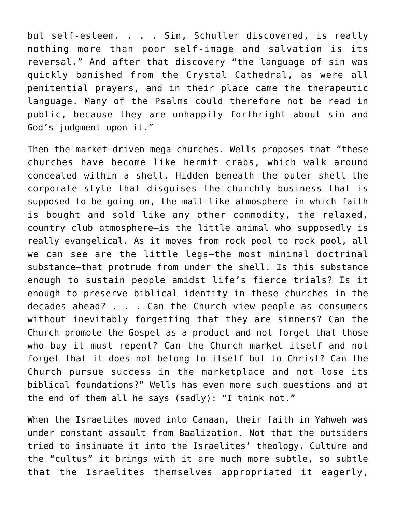but self-esteem. . . . Sin, Schuller discovered, is really nothing more than poor self-image and salvation is its reversal." And after that discovery "the language of sin was quickly banished from the Crystal Cathedral, as were all penitential prayers, and in their place came the therapeutic language. Many of the Psalms could therefore not be read in public, because they are unhappily forthright about sin and God's judgment upon it."

Then the market-driven mega-churches. Wells proposes that "these churches have become like hermit crabs, which walk around concealed within a shell. Hidden beneath the outer shell–the corporate style that disguises the churchly business that is supposed to be going on, the mall-like atmosphere in which faith is bought and sold like any other commodity, the relaxed, country club atmosphere–is the little animal who supposedly is really evangelical. As it moves from rock pool to rock pool, all we can see are the little legs–the most minimal doctrinal substance–that protrude from under the shell. Is this substance enough to sustain people amidst life's fierce trials? Is it enough to preserve biblical identity in these churches in the decades ahead? . . . Can the Church view people as consumers without inevitably forgetting that they are sinners? Can the Church promote the Gospel as a product and not forget that those who buy it must repent? Can the Church market itself and not forget that it does not belong to itself but to Christ? Can the Church pursue success in the marketplace and not lose its biblical foundations?" Wells has even more such questions and at the end of them all he says (sadly): "I think not."

When the Israelites moved into Canaan, their faith in Yahweh was under constant assault from Baalization. Not that the outsiders tried to insinuate it into the Israelites' theology. Culture and the "cultus" it brings with it are much more subtle, so subtle that the Israelites themselves appropriated it eagerly,